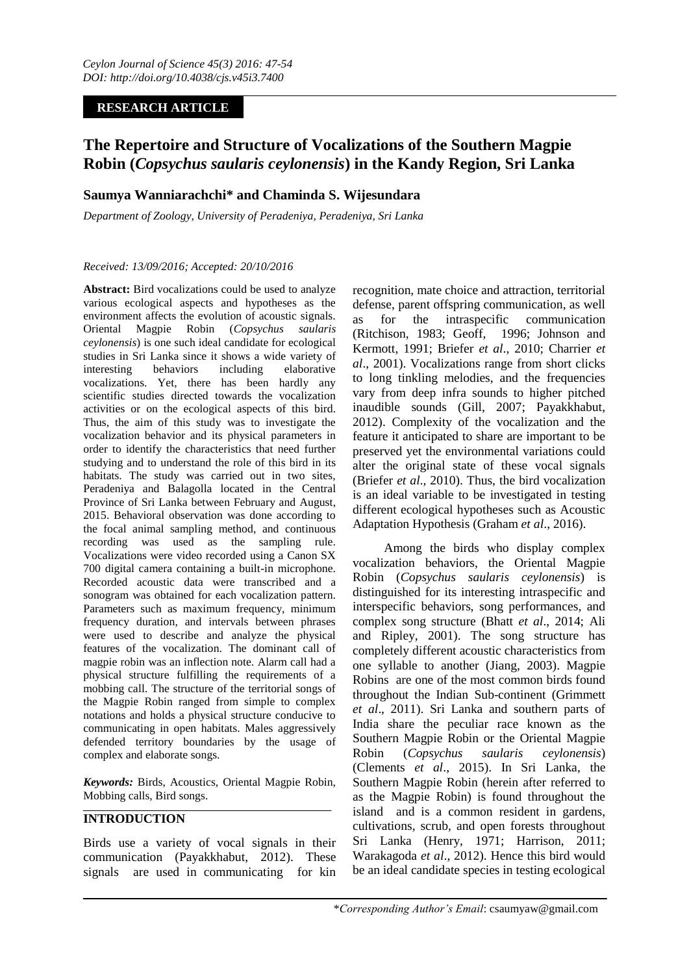# **RESEARCH ARTICLE**

# **The Repertoire and Structure of Vocalizations of the Southern Magpie Robin (***Copsychus saularis ceylonensis***) in the Kandy Region, Sri Lanka**

# **Saumya Wanniarachchi\* and Chaminda S. Wijesundara**

*Department of Zoology, University of Peradeniya, Peradeniya, Sri Lanka*

#### *Received: 13/09/2016; Accepted: 20/10/2016*

Abstract: Bird vocalizations could be used to analyze various ecological aspects and hypotheses as the environment affects the evolution of acoustic signals. Oriental Magpie Robin (*Copsychus saularis ceylonensis*) is one such ideal candidate for ecological studies in Sri Lanka since it shows a wide variety of interesting behaviors including elaborative vocalizations. Yet, there has been hardly any scientific studies directed towards the vocalization activities or on the ecological aspects of this bird. Thus, the aim of this study was to investigate the vocalization behavior and its physical parameters in order to identify the characteristics that need further studying and to understand the role of this bird in its habitats. The study was carried out in two sites, Peradeniya and Balagolla located in the Central Province of Sri Lanka between February and August, 2015. Behavioral observation was done according to the focal animal sampling method, and continuous recording was used as the sampling rule. Vocalizations were video recorded using a Canon SX 700 digital camera containing a built-in microphone. Recorded acoustic data were transcribed and a sonogram was obtained for each vocalization pattern. Parameters such as maximum frequency, minimum frequency duration, and intervals between phrases were used to describe and analyze the physical features of the vocalization. The dominant call of magpie robin was an inflection note. Alarm call had a physical structure fulfilling the requirements of a mobbing call. The structure of the territorial songs of the Magpie Robin ranged from simple to complex notations and holds a physical structure conducive to communicating in open habitats. Males aggressively defended territory boundaries by the usage of complex and elaborate songs.

*Keywords:* Birds, Acoustics, Oriental Magpie Robin, Mobbing calls, Bird songs.

## **INTRODUCTION**

Birds use a variety of vocal signals in their communication (Payakkhabut, 2012). These signals are used in communicating for kin recognition, mate choice and attraction, territorial defense, parent offspring communication, as well as for the intraspecific communication (Ritchison, 1983; Geoff, 1996; Johnson and Kermott, 1991; Briefer *et al*., 2010; Charrier *et al*., 2001). Vocalizations range from short clicks to long tinkling melodies, and the frequencies vary from deep infra sounds to higher pitched inaudible sounds (Gill, 2007; Payakkhabut, 2012). Complexity of the vocalization and the feature it anticipated to share are important to be preserved yet the environmental variations could alter the original state of these vocal signals (Briefer *et al*., 2010). Thus, the bird vocalization is an ideal variable to be investigated in testing different ecological hypotheses such as Acoustic Adaptation Hypothesis (Graham *et al*., 2016).

Among the birds who display complex vocalization behaviors, the Oriental Magpie Robin (*Copsychus saularis ceylonensis*) is distinguished for its interesting intraspecific and interspecific behaviors, song performances, and complex song structure (Bhatt *et al*., 2014; Ali and Ripley, 2001). The song structure has completely different acoustic characteristics from one syllable to another (Jiang, 2003). Magpie Robins are one of the most common birds found throughout the Indian Sub-continent (Grimmett *et al*., 2011). Sri Lanka and southern parts of India share the peculiar race known as the Southern Magpie Robin or the Oriental Magpie Robin (*Copsychus saularis ceylonensis*) (Clements *et al*., 2015). In Sri Lanka, the Southern Magpie Robin (herein after referred to as the Magpie Robin) is found throughout the island and is a common resident in gardens, cultivations, scrub, and open forests throughout Sri Lanka (Henry, 1971; Harrison, 2011; Warakagoda *et al*., 2012). Hence this bird would be an ideal candidate species in testing ecological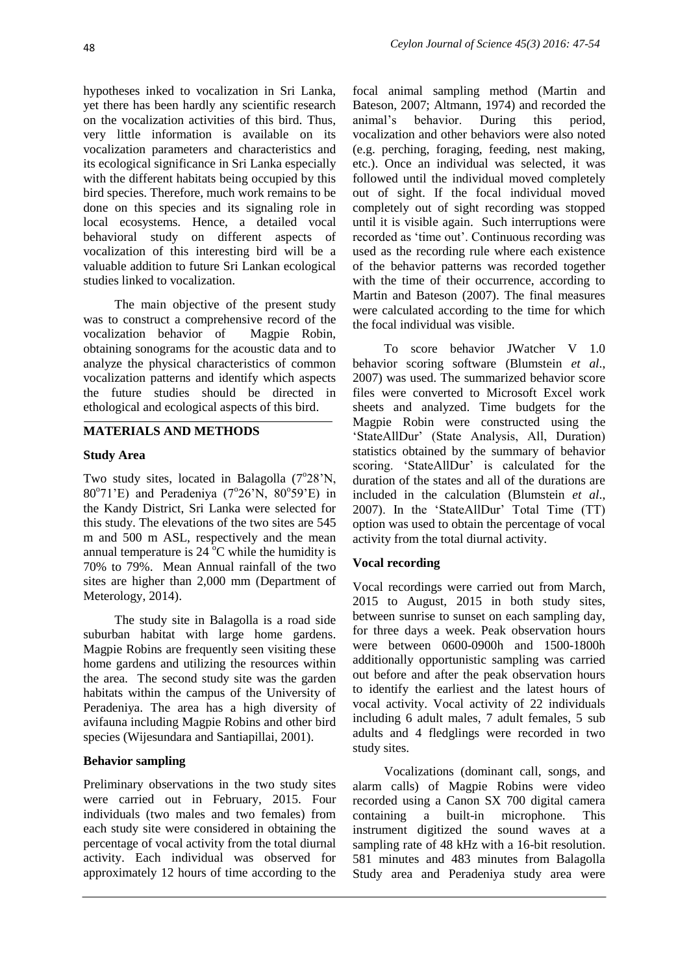hypotheses inked to vocalization in Sri Lanka, yet there has been hardly any scientific research on the vocalization activities of this bird. Thus, very little information is available on its vocalization parameters and characteristics and its ecological significance in Sri Lanka especially with the different habitats being occupied by this bird species. Therefore, much work remains to be done on this species and its signaling role in local ecosystems. Hence, a detailed vocal behavioral study on different aspects of vocalization of this interesting bird will be a valuable addition to future Sri Lankan ecological studies linked to vocalization.

The main objective of the present study was to construct a comprehensive record of the vocalization behavior of Magpie Robin, obtaining sonograms for the acoustic data and to analyze the physical characteristics of common vocalization patterns and identify which aspects the future studies should be directed in ethological and ecological aspects of this bird.

## **MATERIALS AND METHODS**

## **Study Area**

Two study sites, located in Balagolla  $(7^{\circ}28^{\circ}N,$  $80^{\circ}71'E$ ) and Peradeniya (7°26'N,  $80^{\circ}59'E$ ) in the Kandy District, Sri Lanka were selected for this study. The elevations of the two sites are 545 m and 500 m ASL, respectively and the mean annual temperature is  $24^{\circ}$ C while the humidity is 70% to 79%. Mean Annual rainfall of the two sites are higher than 2,000 mm (Department of Meterology, 2014).

The study site in Balagolla is a road side suburban habitat with large home gardens. Magpie Robins are frequently seen visiting these home gardens and utilizing the resources within the area. The second study site was the garden habitats within the campus of the University of Peradeniya. The area has a high diversity of avifauna including Magpie Robins and other bird species (Wijesundara and Santiapillai, 2001).

## **Behavior sampling**

Preliminary observations in the two study sites were carried out in February, 2015. Four individuals (two males and two females) from each study site were considered in obtaining the percentage of vocal activity from the total diurnal activity. Each individual was observed for approximately 12 hours of time according to the

focal animal sampling method (Martin and Bateson, 2007; Altmann, 1974) and recorded the animal"s behavior. During this period, vocalization and other behaviors were also noted (e.g. perching, foraging, feeding, nest making, etc.). Once an individual was selected, it was followed until the individual moved completely out of sight. If the focal individual moved completely out of sight recording was stopped until it is visible again. Such interruptions were recorded as "time out". Continuous recording was used as the recording rule where each existence of the behavior patterns was recorded together with the time of their occurrence, according to Martin and Bateson (2007). The final measures were calculated according to the time for which the focal individual was visible.

To score behavior JWatcher V 1.0 behavior scoring software (Blumstein *et al*., 2007) was used. The summarized behavior score files were converted to Microsoft Excel work sheets and analyzed. Time budgets for the Magpie Robin were constructed using the "StateAllDur" (State Analysis, All, Duration) statistics obtained by the summary of behavior scoring. 'StateAllDur' is calculated for the duration of the states and all of the durations are included in the calculation (Blumstein *et al*., 2007). In the "StateAllDur" Total Time (TT) option was used to obtain the percentage of vocal activity from the total diurnal activity.

## **Vocal recording**

Vocal recordings were carried out from March, 2015 to August, 2015 in both study sites, between sunrise to sunset on each sampling day, for three days a week. Peak observation hours were between 0600-0900h and 1500-1800h additionally opportunistic sampling was carried out before and after the peak observation hours to identify the earliest and the latest hours of vocal activity. Vocal activity of 22 individuals including 6 adult males, 7 adult females, 5 sub adults and 4 fledglings were recorded in two study sites.

Vocalizations (dominant call, songs, and alarm calls) of Magpie Robins were video recorded using a Canon SX 700 digital camera containing a built-in microphone. This instrument digitized the sound waves at a sampling rate of 48 kHz with a 16-bit resolution. 581 minutes and 483 minutes from Balagolla Study area and Peradeniya study area were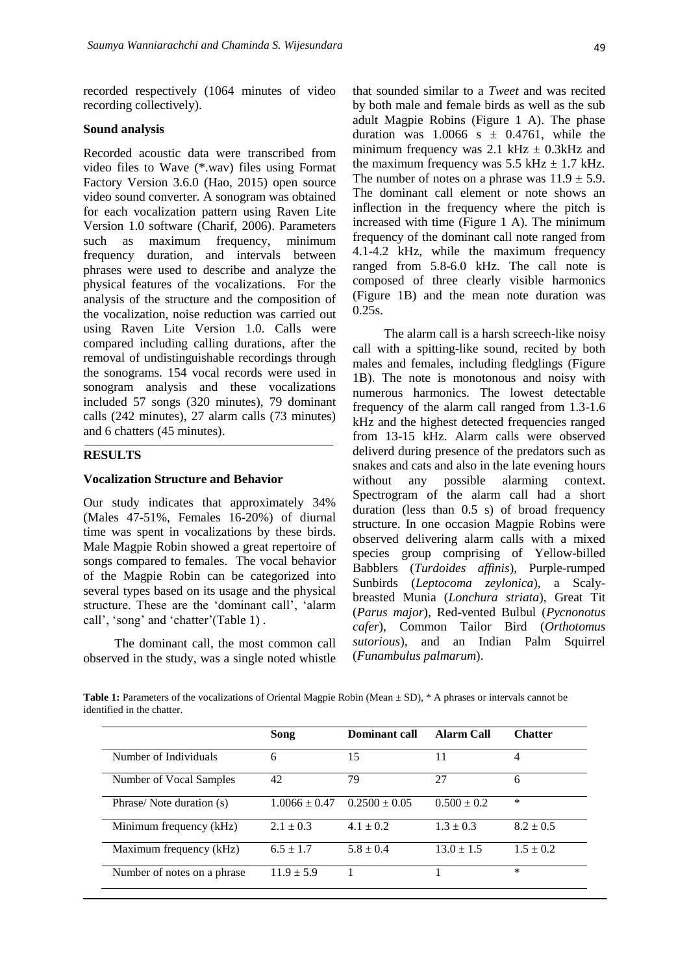recorded respectively (1064 minutes of video recording collectively).

#### **Sound analysis**

Recorded acoustic data were transcribed from video files to Wave (\*.wav) files using Format Factory Version 3.6.0 (Hao, 2015) open source video sound converter. A sonogram was obtained for each vocalization pattern using Raven Lite Version 1.0 software (Charif, 2006). Parameters such as maximum frequency, minimum frequency duration, and intervals between phrases were used to describe and analyze the physical features of the vocalizations. For the analysis of the structure and the composition of the vocalization, noise reduction was carried out using Raven Lite Version 1.0. Calls were compared including calling durations, after the removal of undistinguishable recordings through the sonograms. 154 vocal records were used in sonogram analysis and these vocalizations included 57 songs (320 minutes), 79 dominant calls (242 minutes), 27 alarm calls (73 minutes) and 6 chatters (45 minutes).

## **RESULTS**

#### **Vocalization Structure and Behavior**

Our study indicates that approximately 34% (Males 47-51%, Females 16-20%) of diurnal time was spent in vocalizations by these birds. Male Magpie Robin showed a great repertoire of songs compared to females. The vocal behavior of the Magpie Robin can be categorized into several types based on its usage and the physical structure. These are the "dominant call", "alarm call', 'song' and 'chatter'(Table 1).

The dominant call, the most common call observed in the study, was a single noted whistle

that sounded similar to a *Tweet* and was recited by both male and female birds as well as the sub adult Magpie Robins (Figure 1 A). The phase duration was  $1.0066$  s  $\pm$  0.4761, while the minimum frequency was 2.1 kHz  $\pm$  0.3kHz and the maximum frequency was  $5.5$  kHz  $\pm$  1.7 kHz. The number of notes on a phrase was  $11.9 \pm 5.9$ . The dominant call element or note shows an inflection in the frequency where the pitch is increased with time (Figure 1 A). The minimum frequency of the dominant call note ranged from 4.1-4.2 kHz, while the maximum frequency ranged from 5.8-6.0 kHz. The call note is composed of three clearly visible harmonics (Figure 1B) and the mean note duration was 0.25s.

The alarm call is a harsh screech-like noisy call with a spitting-like sound, recited by both males and females, including fledglings (Figure 1B). The note is monotonous and noisy with numerous harmonics. The lowest detectable frequency of the alarm call ranged from 1.3-1.6 kHz and the highest detected frequencies ranged from 13-15 kHz. Alarm calls were observed deliverd during presence of the predators such as snakes and cats and also in the late evening hours without any possible alarming context. Spectrogram of the alarm call had a short duration (less than 0.5 s) of broad frequency structure. In one occasion Magpie Robins were observed delivering alarm calls with a mixed species group comprising of Yellow-billed Babblers (*Turdoides affinis*), Purple-rumped Sunbirds (*Leptocoma zeylonica*), a Scalybreasted Munia (*Lonchura striata*), Great Tit (*Parus major*), Red-vented Bulbul (*Pycnonotus cafer*), Common Tailor Bird (*Orthotomus sutorious*), and an Indian Palm Squirrel (*Funambulus palmarum*).

**Table 1:** Parameters of the vocalizations of Oriental Magpie Robin (Mean  $\pm$  SD), \* A phrases or intervals cannot be identified in the chatter.

|                             | Song              | Dominant call     | Alarm Call      | <b>Chatter</b> |
|-----------------------------|-------------------|-------------------|-----------------|----------------|
| Number of Individuals       | 6                 | 15                | 11              | 4              |
| Number of Vocal Samples     | 42                | 79                | 27              | 6              |
| Phrase/Note duration (s)    | $1.0066 \pm 0.47$ | $0.2500 \pm 0.05$ | $0.500 \pm 0.2$ | $\ast$         |
| Minimum frequency (kHz)     | $2.1 \pm 0.3$     | $4.1 \pm 0.2$     | $1.3 \pm 0.3$   | $8.2 \pm 0.5$  |
| Maximum frequency (kHz)     | $6.5 \pm 1.7$     | $5.8 + 0.4$       | $13.0 \pm 1.5$  | $1.5 + 0.2$    |
| Number of notes on a phrase | $11.9 + 5.9$      |                   |                 | $\ast$         |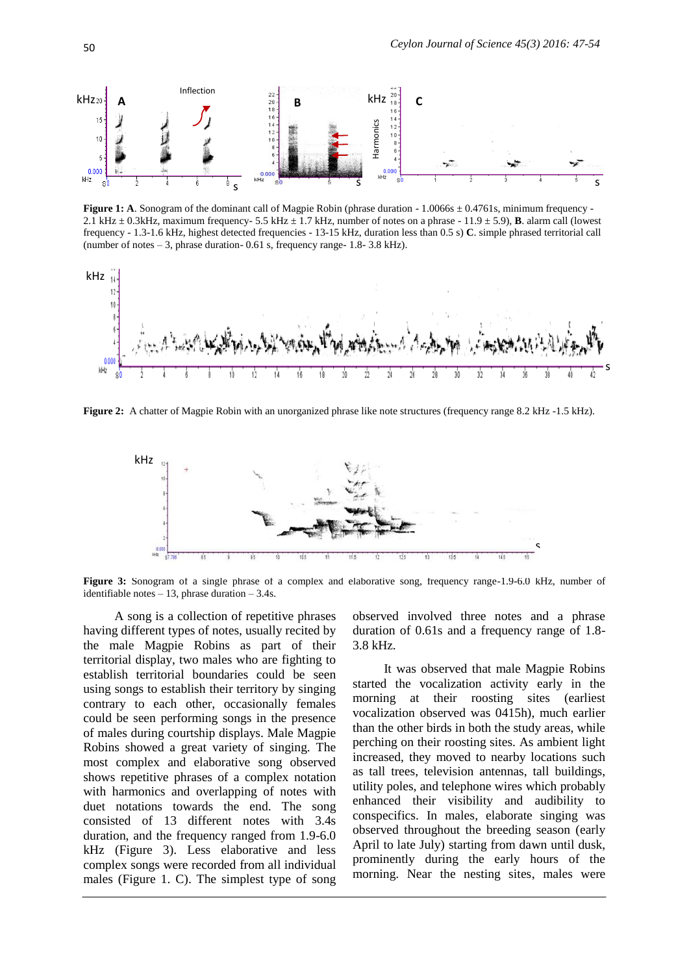

**Figure 1: A**. Sonogram of the dominant call of Magpie Robin (phrase duration - 1.0066s  $\pm$  0.4761s, minimum frequency -2.1 kHz  $\pm$  0.3kHz, maximum frequency- 5.5 kHz  $\pm$  1.7 kHz, number of notes on a phrase - 11.9  $\pm$  5.9), **B**. alarm call (lowest frequency - 1.3-1.6 kHz, highest detected frequencies - 13-15 kHz, duration less than 0.5 s) **C**. simple phrased territorial call (number of notes – 3, phrase duration- 0.61 s, frequency range- 1.8- 3.8 kHz).



Figure 2: A chatter of Magpie Robin with an unorganized phrase like note structures (frequency range 8.2 kHz -1.5 kHz).



**Figure 3:** Sonogram of a single phrase of a complex and elaborative song, frequency range-1.9-6.0 kHz, number of identifiable notes  $-13$ , phrase duration  $-3.4$ s.

A song is a collection of repetitive phrases having different types of notes, usually recited by the male Magpie Robins as part of their territorial display, two males who are fighting to establish territorial boundaries could be seen using songs to establish their territory by singing contrary to each other, occasionally females could be seen performing songs in the presence of males during courtship displays. Male Magpie Robins showed a great variety of singing. The most complex and elaborative song observed shows repetitive phrases of a complex notation with harmonics and overlapping of notes with duet notations towards the end. The song consisted of 13 different notes with 3.4s duration, and the frequency ranged from 1.9-6.0 kHz (Figure 3). Less elaborative and less complex songs were recorded from all individual males (Figure 1. C). The simplest type of song

observed involved three notes and a phrase duration of 0.61s and a frequency range of 1.8- 3.8 kHz.

It was observed that male Magpie Robins started the vocalization activity early in the morning at their roosting sites (earliest vocalization observed was 0415h), much earlier than the other birds in both the study areas, while perching on their roosting sites. As ambient light increased, they moved to nearby locations such as tall trees, television antennas, tall buildings, utility poles, and telephone wires which probably enhanced their visibility and audibility to conspecifics. In males, elaborate singing was observed throughout the breeding season (early April to late July) starting from dawn until dusk, prominently during the early hours of the morning. Near the nesting sites, males were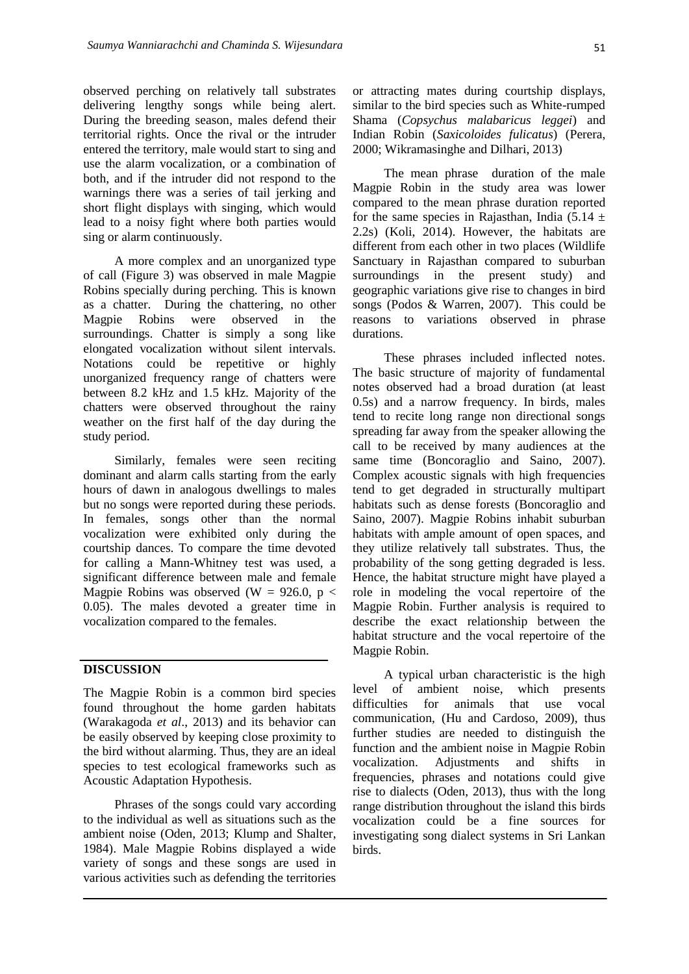observed perching on relatively tall substrates delivering lengthy songs while being alert. During the breeding season, males defend their territorial rights. Once the rival or the intruder entered the territory, male would start to sing and use the alarm vocalization, or a combination of both, and if the intruder did not respond to the warnings there was a series of tail jerking and short flight displays with singing, which would lead to a noisy fight where both parties would sing or alarm continuously.

A more complex and an unorganized type of call (Figure 3) was observed in male Magpie Robins specially during perching. This is known as a chatter. During the chattering, no other Magpie Robins were observed in the surroundings. Chatter is simply a song like elongated vocalization without silent intervals. Notations could be repetitive or highly unorganized frequency range of chatters were between 8.2 kHz and 1.5 kHz. Majority of the chatters were observed throughout the rainy weather on the first half of the day during the study period.

Similarly, females were seen reciting dominant and alarm calls starting from the early hours of dawn in analogous dwellings to males but no songs were reported during these periods. In females, songs other than the normal vocalization were exhibited only during the courtship dances. To compare the time devoted for calling a Mann-Whitney test was used, a significant difference between male and female Magpie Robins was observed (W = 926.0,  $p <$ 0.05). The males devoted a greater time in vocalization compared to the females.

#### **DISCUSSION**

The Magpie Robin is a common bird species found throughout the home garden habitats (Warakagoda *et al*., 2013) and its behavior can be easily observed by keeping close proximity to the bird without alarming. Thus, they are an ideal species to test ecological frameworks such as Acoustic Adaptation Hypothesis.

Phrases of the songs could vary according to the individual as well as situations such as the ambient noise (Oden, 2013; Klump and Shalter, 1984). Male Magpie Robins displayed a wide variety of songs and these songs are used in various activities such as defending the territories or attracting mates during courtship displays, similar to the bird species such as White-rumped Shama (*Copsychus malabaricus leggei*) and Indian Robin (*Saxicoloides fulicatus*) (Perera, 2000; Wikramasinghe and Dilhari, 2013)

The mean phrase duration of the male Magpie Robin in the study area was lower compared to the mean phrase duration reported for the same species in Rajasthan, India (5.14  $\pm$ 2.2s) (Koli, 2014). However, the habitats are different from each other in two places (Wildlife Sanctuary in Rajasthan compared to suburban surroundings in the present study) and geographic variations give rise to changes in bird songs (Podos & Warren, 2007). This could be reasons to variations observed in phrase durations.

These phrases included inflected notes. The basic structure of majority of fundamental notes observed had a broad duration (at least 0.5s) and a narrow frequency. In birds, males tend to recite long range non directional songs spreading far away from the speaker allowing the call to be received by many audiences at the same time (Boncoraglio and Saino, 2007). Complex acoustic signals with high frequencies tend to get degraded in structurally multipart habitats such as dense forests (Boncoraglio and Saino, 2007). Magpie Robins inhabit suburban habitats with ample amount of open spaces, and they utilize relatively tall substrates. Thus, the probability of the song getting degraded is less. Hence, the habitat structure might have played a role in modeling the vocal repertoire of the Magpie Robin. Further analysis is required to describe the exact relationship between the habitat structure and the vocal repertoire of the Magpie Robin.

A typical urban characteristic is the high level of ambient noise, which presents difficulties for animals that use vocal communication, (Hu and Cardoso, 2009), thus further studies are needed to distinguish the function and the ambient noise in Magpie Robin vocalization. Adjustments and shifts in frequencies, phrases and notations could give rise to dialects (Oden, 2013), thus with the long range distribution throughout the island this birds vocalization could be a fine sources for investigating song dialect systems in Sri Lankan birds.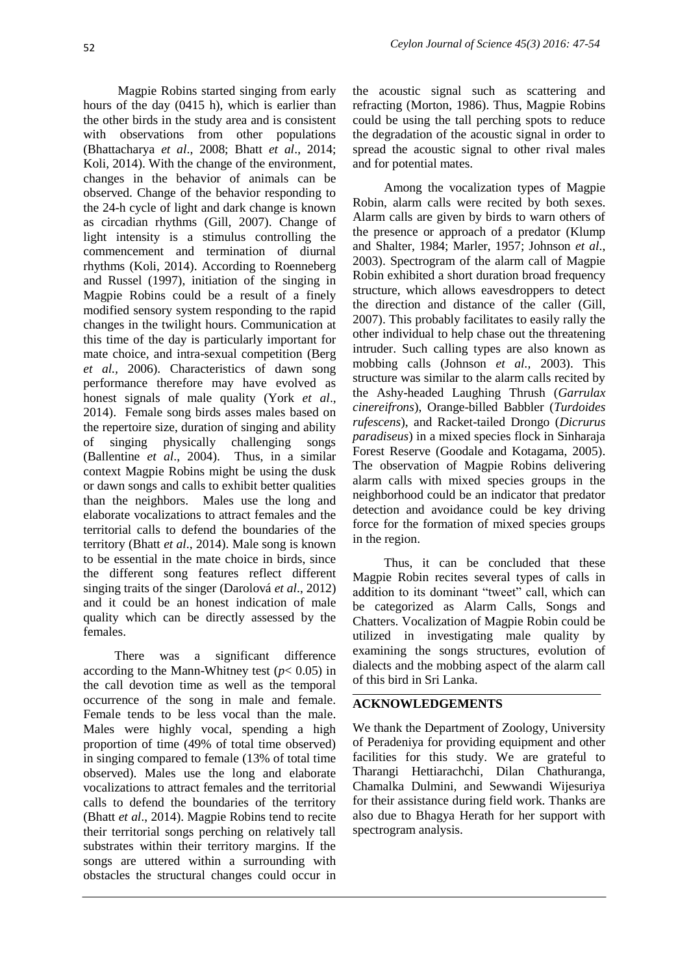Magpie Robins started singing from early hours of the day (0415 h), which is earlier than the other birds in the study area and is consistent with observations from other populations (Bhattacharya *et al*., 2008; Bhatt *et al*., 2014; Koli, 2014). With the change of the environment, changes in the behavior of animals can be observed. Change of the behavior responding to the 24-h cycle of light and dark change is known as circadian rhythms (Gill, 2007). Change of light intensity is a stimulus controlling the commencement and termination of diurnal rhythms (Koli, 2014). According to Roenneberg and Russel (1997), initiation of the singing in Magpie Robins could be a result of a finely modified sensory system responding to the rapid changes in the twilight hours. Communication at this time of the day is particularly important for mate choice, and intra-sexual competition (Berg *et al.,* 2006). Characteristics of dawn song performance therefore may have evolved as honest signals of male quality (York *et al*., 2014). Female song birds asses males based on the repertoire size, duration of singing and ability of singing physically challenging songs (Ballentine *et al*., 2004). Thus, in a similar context Magpie Robins might be using the dusk or dawn songs and calls to exhibit better qualities than the neighbors. Males use the long and elaborate vocalizations to attract females and the territorial calls to defend the boundaries of the territory (Bhatt *et al*., 2014). Male song is known to be essential in the mate choice in birds, since the different song features reflect different singing traits of the singer (Darolová *et al*., 2012) and it could be an honest indication of male quality which can be directly assessed by the females.

There was a significant difference according to the Mann-Whitney test  $(p< 0.05)$  in the call devotion time as well as the temporal occurrence of the song in male and female. Female tends to be less vocal than the male. Males were highly vocal, spending a high proportion of time (49% of total time observed) in singing compared to female (13% of total time observed). Males use the long and elaborate vocalizations to attract females and the territorial calls to defend the boundaries of the territory (Bhatt *et al*., 2014). Magpie Robins tend to recite their territorial songs perching on relatively tall substrates within their territory margins. If the songs are uttered within a surrounding with obstacles the structural changes could occur in

the acoustic signal such as scattering and refracting (Morton, 1986). Thus, Magpie Robins could be using the tall perching spots to reduce the degradation of the acoustic signal in order to spread the acoustic signal to other rival males and for potential mates.

Among the vocalization types of Magpie Robin, alarm calls were recited by both sexes. Alarm calls are given by birds to warn others of the presence or approach of a predator (Klump and Shalter, 1984; Marler, 1957; Johnson *et al*., 2003). Spectrogram of the alarm call of Magpie Robin exhibited a short duration broad frequency structure, which allows eavesdroppers to detect the direction and distance of the caller (Gill, 2007). This probably facilitates to easily rally the other individual to help chase out the threatening intruder. Such calling types are also known as mobbing calls (Johnson *et al.,* 2003). This structure was similar to the alarm calls recited by the Ashy-headed Laughing Thrush (*Garrulax cinereifrons*), Orange-billed Babbler (*Turdoides rufescens*), and Racket-tailed Drongo (*Dicrurus paradiseus*) in a mixed species flock in Sinharaja Forest Reserve (Goodale and Kotagama, 2005). The observation of Magpie Robins delivering alarm calls with mixed species groups in the neighborhood could be an indicator that predator detection and avoidance could be key driving force for the formation of mixed species groups in the region.

Thus, it can be concluded that these Magpie Robin recites several types of calls in addition to its dominant "tweet" call, which can be categorized as Alarm Calls, Songs and Chatters. Vocalization of Magpie Robin could be utilized in investigating male quality by examining the songs structures, evolution of dialects and the mobbing aspect of the alarm call of this bird in Sri Lanka.

## **ACKNOWLEDGEMENTS**

We thank the Department of Zoology, University of Peradeniya for providing equipment and other facilities for this study. We are grateful to Tharangi Hettiarachchi, Dilan Chathuranga, Chamalka Dulmini, and Sewwandi Wijesuriya for their assistance during field work. Thanks are also due to Bhagya Herath for her support with spectrogram analysis.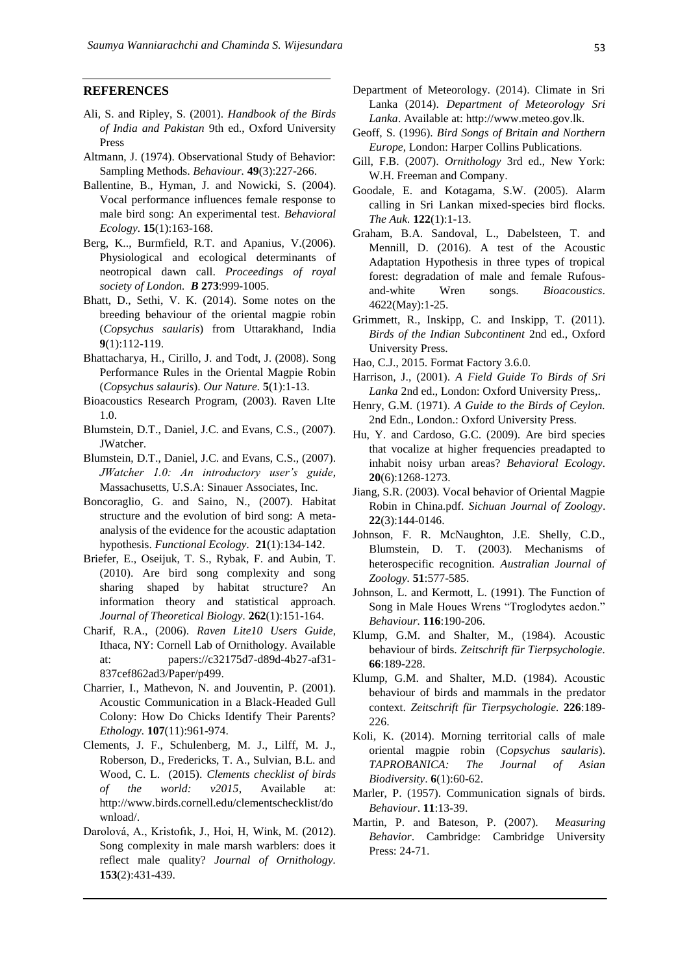#### **REFERENCES**

- Ali, S. and Ripley, S. (2001). *Handbook of the Birds of India and Pakistan* 9th ed., Oxford University Press
- Altmann, J. (1974). Observational Study of Behavior: Sampling Methods. *Behaviour.* **49**(3):227-266.
- Ballentine, B., Hyman, J. and Nowicki, S. (2004). Vocal performance influences female response to male bird song: An experimental test. *Behavioral Ecology.* **15**(1):163-168.
- Berg, K.., Burmfield, R.T. and Apanius, V.(2006). Physiological and ecological determinants of neotropical dawn call. *Proceedings of royal society of London. B* **273**:999-1005.
- Bhatt, D., Sethi, V. K. (2014). Some notes on the breeding behaviour of the oriental magpie robin (*Copsychus saularis*) from Uttarakhand, India **9**(1):112-119.
- Bhattacharya, H., Cirillo, J. and Todt, J. (2008). Song Performance Rules in the Oriental Magpie Robin (*Copsychus salauris*). *Our Nature.* **5**(1):1-13.
- Bioacoustics Research Program, (2003). Raven LIte 1.0.
- Blumstein, D.T., Daniel, J.C. and Evans, C.S., (2007). JWatcher.
- Blumstein, D.T., Daniel, J.C. and Evans, C.S., (2007). *JWatcher 1.0: An introductory user's guide*, Massachusetts, U.S.A: Sinauer Associates, Inc.
- Boncoraglio, G. and Saino, N., (2007). Habitat structure and the evolution of bird song: A metaanalysis of the evidence for the acoustic adaptation hypothesis. *Functional Ecology.* **21**(1):134-142.
- Briefer, E., Oseijuk, T. S., Rybak, F. and Aubin, T. (2010). Are bird song complexity and song sharing shaped by habitat structure? An information theory and statistical approach. *Journal of Theoretical Biology.* **262**(1):151-164.
- Charif, R.A., (2006). *Raven Lite10 Users Guide*, Ithaca, NY: Cornell Lab of Ornithology. Available at: papers://c32175d7-d89d-4b27-af31- 837cef862ad3/Paper/p499.
- Charrier, I., Mathevon, N. and Jouventin, P. (2001). Acoustic Communication in a Black-Headed Gull Colony: How Do Chicks Identify Their Parents? *Ethology.* **107**(11):961-974.
- Clements, J. F., Schulenberg, M. J., Lilff, M. J., Roberson, D., Fredericks, T. A., Sulvian, B.L. and Wood, C. L. (2015). *Clements checklist of birds of the world: v2015*, Available at: http://www.birds.cornell.edu/clementschecklist/do wnload/.
- Darolová, A., Kristofık, J., Hoi, H, Wink, M. (2012). Song complexity in male marsh warblers: does it reflect male quality? *Journal of Ornithology.* **153**(2):431-439.
- Department of Meteorology. (2014). Climate in Sri Lanka (2014). *Department of Meteorology Sri Lanka*. Available at: http://www.meteo.gov.lk.
- Geoff, S. (1996). *Bird Songs of Britain and Northern Europe*, London: Harper Collins Publications.
- Gill, F.B. (2007). *Ornithology* 3rd ed., New York: W.H. Freeman and Company.
- Goodale, E. and Kotagama, S.W. (2005). Alarm calling in Sri Lankan mixed-species bird flocks. *The Auk.* **122**(1):1-13.
- Graham, B.A. Sandoval, L., Dabelsteen, T. and Mennill, D. (2016). A test of the Acoustic Adaptation Hypothesis in three types of tropical forest: degradation of male and female Rufousand-white Wren songs. *Bioacoustics*. 4622(May):1-25.
- Grimmett, R., Inskipp, C. and Inskipp, T. (2011). *Birds of the Indian Subcontinent* 2nd ed., Oxford University Press.
- Hao, C.J., 2015. Format Factory 3.6.0.
- Harrison, J., (2001). *A Field Guide To Birds of Sri Lanka* 2nd ed., London: Oxford University Press,.
- Henry, G.M. (1971). *A Guide to the Birds of Ceylon.* 2nd Edn., London.: Oxford University Press.
- Hu, Y. and Cardoso, G.C. (2009). Are bird species that vocalize at higher frequencies preadapted to inhabit noisy urban areas? *Behavioral Ecology.* **20**(6):1268-1273.
- Jiang, S.R. (2003). Vocal behavior of Oriental Magpie Robin in China.pdf. *Sichuan Journal of Zoology*. **22**(3):144-0146.
- Johnson, F. R. McNaughton, J.E. Shelly, C.D., Blumstein, D. T. (2003). Mechanisms of heterospecific recognition. *Australian Journal of Zoology.* **51**:577-585.
- Johnson, L. and Kermott, L. (1991). The Function of Song in Male Houes Wrens "Troglodytes aedon." *Behaviour.* **116**:190-206.
- Klump, G.M. and Shalter, M., (1984). Acoustic behaviour of birds. *Zeitschrift für Tierpsychologie.* **66**:189-228.
- Klump, G.M. and Shalter, M.D. (1984). Acoustic behaviour of birds and mammals in the predator context. *Zeitschrift für Tierpsychologie.* **226**:189- 226.
- Koli, K. (2014). Morning territorial calls of male oriental magpie robin (C*opsychus saularis*). *TAPROBANICA: The Journal of Asian Biodiversity*. **6**(1):60-62.
- Marler, P. (1957). Communication signals of birds. *Behaviour*. **11**:13-39.
- Martin, P. and Bateson, P. (2007). *Measuring Behavior*. Cambridge: Cambridge University Press: 24-71.